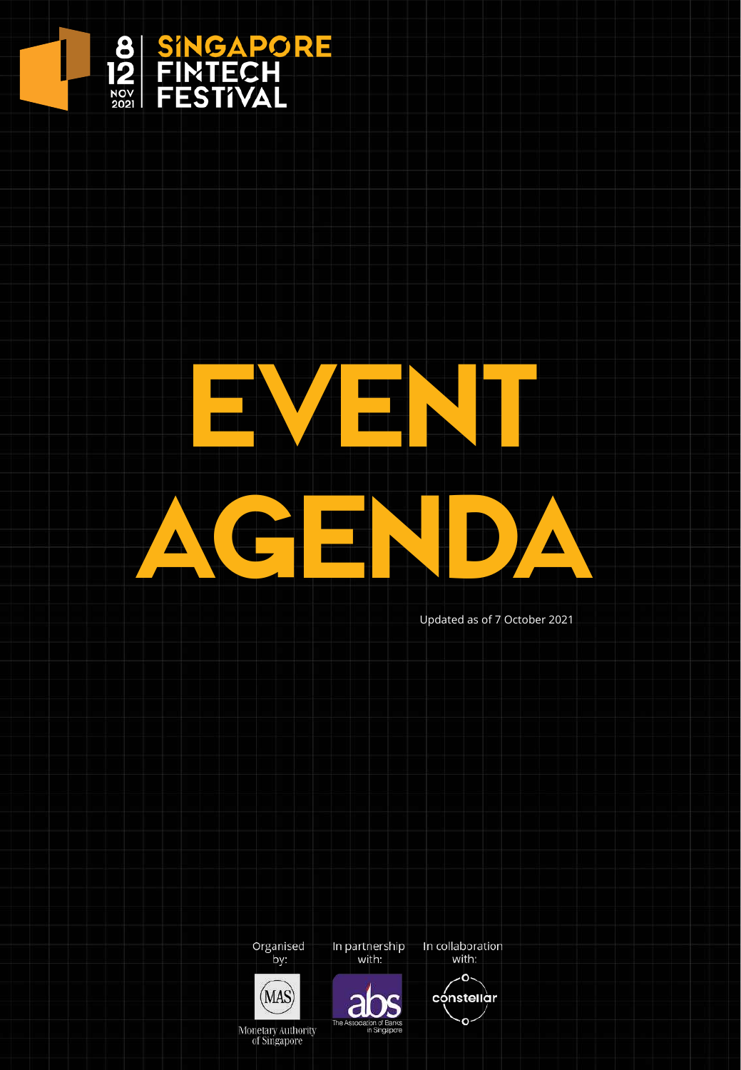

# EVEN. AGENDA

Updated as of 7 October 2021







In partnership

with:



In collaboration

Monetary Authority<br>of Singapore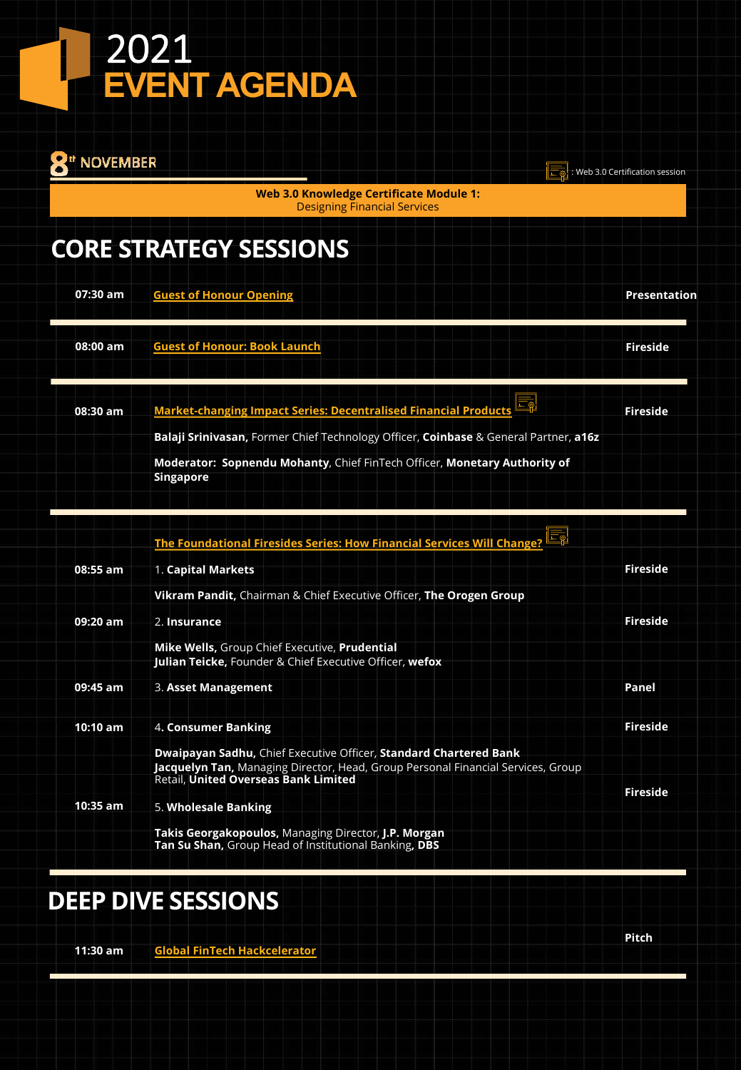| <b>NOVEMBER</b> |                                                                                                                                                                                                                                                                 | Web 3.0 Certification session |
|-----------------|-----------------------------------------------------------------------------------------------------------------------------------------------------------------------------------------------------------------------------------------------------------------|-------------------------------|
|                 | <b>Web 3.0 Knowledge Certificate Module 1:</b><br><b>Designing Financial Services</b>                                                                                                                                                                           |                               |
|                 | <b>CORE STRATEGY SESSIONS</b>                                                                                                                                                                                                                                   |                               |
| 07:30 am        | <b>Guest of Honour Opening</b>                                                                                                                                                                                                                                  | Presentation                  |
| 08:00 am        | <b>Guest of Honour: Book Launch</b>                                                                                                                                                                                                                             | <b>Fireside</b>               |
| 08:30 am        | <b>Market-changing Impact Series: Decentralised Financial Products</b><br>Balaji Srinivasan, Former Chief Technology Officer, Coinbase & General Partner, a16z<br>Moderator: Sopnendu Mohanty, Chief FinTech Officer, Monetary Authority of<br><b>Singapore</b> | <b>Fireside</b>               |
| 08:55 am        | <b>The Foundational Firesides Series: How Financial Services Will Change</b><br>1. Capital Markets                                                                                                                                                              | <b>Fireside</b>               |
| 09:20 am        | Vikram Pandit, Chairman & Chief Executive Officer, The Orogen Group<br>2. Insurance<br>Mike Wells, Group Chief Executive, Prudential                                                                                                                            | <b>Fireside</b>               |
| 09:45 am        | Julian Teicke, Founder & Chief Executive Officer, wefox<br>3. Asset Management                                                                                                                                                                                  | Panel                         |
| 10:10 am        | 4. Consumer Banking<br><b>Dwaipayan Sadhu, Chief Executive Officer, Standard Chartered Bank</b><br>Jacquelyn Tan, Managing Director, Head, Group Personal Financial Services, Group<br>Retail, United Overseas Bank Limited                                     | <b>Fireside</b>               |
| $10:35$ am      | 5. Wholesale Banking<br>Takis Georgakopoulos, Managing Director, J.P. Morgan<br>Tan Su Shan, Group Head of Institutional Banking, DBS                                                                                                                           | <b>Fireside</b>               |

## **DEEP DIVE SESSIONS**

**Global FinTech Hackcelerator 11:30 am**

**Pitch**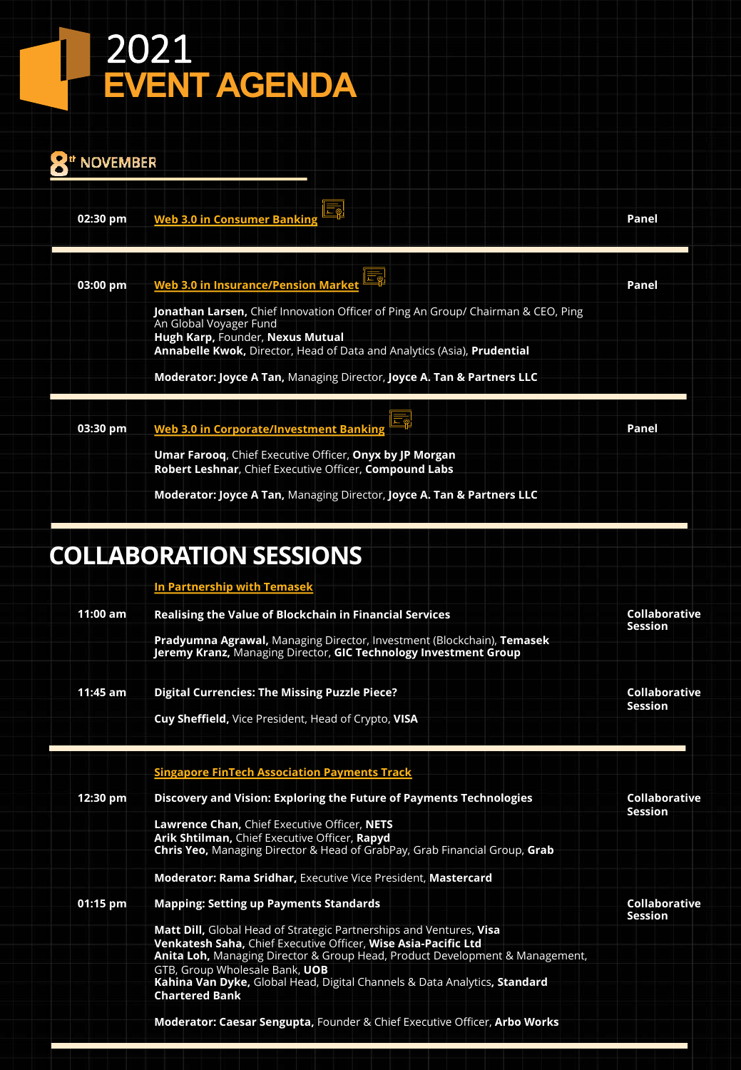| "' NOVEMBER |                                                                                                                                                                                                                                             |       |
|-------------|---------------------------------------------------------------------------------------------------------------------------------------------------------------------------------------------------------------------------------------------|-------|
| 02:30 pm    | Web 3.0 in Consumer Banking                                                                                                                                                                                                                 | Panel |
| 03:00 pm    | Web 3.0 in Insurance/Pension Market                                                                                                                                                                                                         | Panel |
|             | <b>Jonathan Larsen, Chief Innovation Officer of Ping An Group/ Chairman &amp; CEO, Ping</b><br>An Global Voyager Fund<br>Hugh Karp, Founder, Nexus Mutual<br><b>Annabelle Kwok, Director, Head of Data and Analytics (Asia), Prudential</b> |       |
|             | Moderator: Joyce A Tan, Managing Director, Joyce A. Tan & Partners LLC                                                                                                                                                                      |       |
| 03:30 pm    | <b>Web 3.0 in Corporate/Investment Banking</b>                                                                                                                                                                                              | Panel |
|             | <b>Umar Faroog, Chief Executive Officer, Onyx by JP Morgan</b><br>Robert Leshnar, Chief Executive Officer, Compound Labs                                                                                                                    |       |
|             | Moderator: Joyce A Tan, Managing Director, Joyce A. Tan & Partners LLC                                                                                                                                                                      |       |

## **COLLABORATION SESSIONS**

**In Partnership with Temasek**

| $11:00$ am | Realising the Value of Blockchain in Financial Services                                                                                        | Collaborative                          |
|------------|------------------------------------------------------------------------------------------------------------------------------------------------|----------------------------------------|
|            |                                                                                                                                                | <b>Session</b>                         |
|            | Pradyumna Agrawal, Managing Director, Investment (Blockchain), Temasek<br>Jeremy Kranz, Managing Director, GIC Technology Investment Group     |                                        |
|            |                                                                                                                                                |                                        |
| $11:45$ am | <b>Digital Currencies: The Missing Puzzle Piece?</b>                                                                                           | Collaborative                          |
|            | Cuy Sheffield, Vice President, Head of Crypto, VISA                                                                                            | <b>Session</b>                         |
|            | <b>Singapore FinTech Association Payments Track</b>                                                                                            |                                        |
| 12:30 pm   | Discovery and Vision: Exploring the Future of Payments Technologies                                                                            | <b>Collaborative</b><br><b>Session</b> |
|            | Lawrence Chan, Chief Executive Officer, NETS                                                                                                   |                                        |
|            | Arik Shtilman, Chief Executive Officer, Rapyd<br><b>Chris Yeo, Managing Director &amp; Head of GrabPay, Grab Financial Group, Grab</b>         |                                        |
|            | <b>Moderator: Rama Sridhar, Executive Vice President, Mastercard</b>                                                                           |                                        |
| $01:15$ pm | <b>Mapping: Setting up Payments Standards</b>                                                                                                  | Collaborative<br><b>Session</b>        |
|            | Matt Dill, Global Head of Strategic Partnerships and Ventures, Visa                                                                            |                                        |
|            | Venkatesh Saha, Chief Executive Officer, Wise Asia-Pacific Ltd<br>Anita Loh, Managing Director & Group Head, Product Development & Management, |                                        |
|            | GTB, Group Wholesale Bank, UOB                                                                                                                 |                                        |
|            | Kahina Van Dyke, Global Head, Digital Channels & Data Analytics, Standard<br><b>Chartered Bank</b>                                             |                                        |
|            | Moderator: Caesar Sengupta, Founder & Chief Executive Officer, Arbo Works                                                                      |                                        |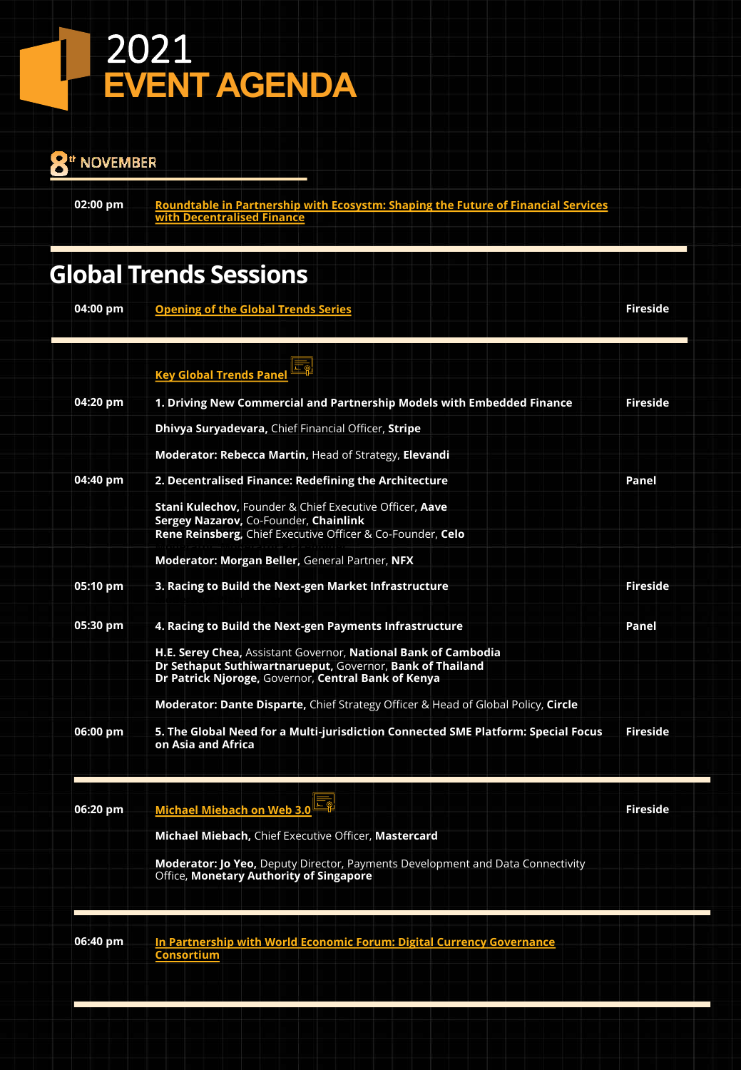#### 2021  $\mathsf{L}% _{0}\!\left( \mathcal{M}\right) \equiv\mathsf{L}_{0}\!\left( \mathcal{M}\right)$ **EVENT AGENDA**

#### <sup>th</sup> NOVEMBER

**02:00 pm**

**Roundtable in Partnership with Ecosystm: Shaping the Future of Financial Services with Decentralised Finance**

### **Global Trends Sessions**

**Opening of the Global Trends Series 04:00 pm**

**Fireside**

|          | <b>Key Global Trends Pane</b>                                                                                                                                                      |                 |
|----------|------------------------------------------------------------------------------------------------------------------------------------------------------------------------------------|-----------------|
| 04:20 pm | 1. Driving New Commercial and Partnership Models with Embedded Finance                                                                                                             | <b>Fireside</b> |
|          | Dhivya Suryadevara, Chief Financial Officer, Stripe                                                                                                                                |                 |
|          | Moderator: Rebecca Martin, Head of Strategy, Elevandi                                                                                                                              |                 |
| 04:40 pm | 2. Decentralised Finance: Redefining the Architecture                                                                                                                              | Panel           |
|          | <b>Stani Kulechov, Founder &amp; Chief Executive Officer, Aave</b><br>Sergey Nazarov, Co-Founder, Chainlink<br>Rene Reinsberg, Chief Executive Officer & Co-Founder, Celo          |                 |
|          | Moderator: Morgan Beller, General Partner, NFX                                                                                                                                     |                 |
| 05:10 pm | 3. Racing to Build the Next-gen Market Infrastructure                                                                                                                              | <b>Fireside</b> |
| 05:30 pm | 4. Racing to Build the Next-gen Payments Infrastructure                                                                                                                            | Panel           |
|          | H.E. Serey Chea, Assistant Governor, National Bank of Cambodia<br>Dr Sethaput Suthiwartnarueput, Governor, Bank of Thailand<br>Dr Patrick Njoroge, Governor, Central Bank of Kenya |                 |
|          | <b>Moderator: Dante Disparte, Chief Strategy Officer &amp; Head of Global Policy, Circle</b>                                                                                       |                 |
| 06:00 pm | 5. The Global Need for a Multi-jurisdiction Connected SME Platform: Special Focus<br>on Asia and Africa                                                                            | Fireside        |
| 06:20 pm | <b>Michael Miebach on Web 3.0</b>                                                                                                                                                  | Fireside        |
|          | Michael Miebach, Chief Executive Officer, Mastercard                                                                                                                               |                 |
|          | <b>Moderator: Jo Yeo, Deputy Director, Payments Development and Data Connectivity</b><br>Office, Monetary Authority of Singapore                                                   |                 |

**In Partnership with World Economic Forum: Digital Currency Governance Consortium 06:40 pm**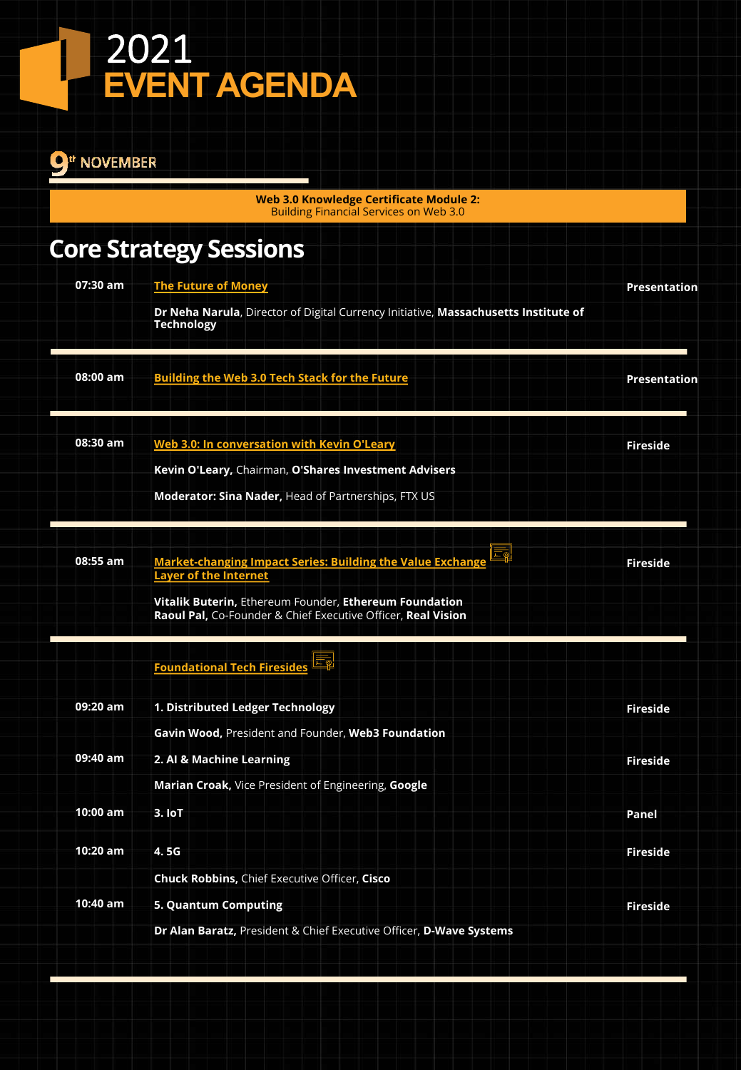#### <sup>th</sup> NOVEMBER

**Web 3.0 Knowledge Certificate Module 2:**  Building Financial Services on Web 3.0

## **Core Strategy Sessions**

| 07:30 am | <b>The Future of Money</b>                                                                                                                                                                                                        | <b>Presentation</b> |
|----------|-----------------------------------------------------------------------------------------------------------------------------------------------------------------------------------------------------------------------------------|---------------------|
|          | Dr Neha Narula, Director of Digital Currency Initiative, Massachusetts Institute of<br><b>Technology</b>                                                                                                                          |                     |
| 08:00 am | <b>Building the Web 3.0 Tech Stack for the Future</b>                                                                                                                                                                             | Presentation        |
| 08:30 am | Web 3.0: In conversation with Kevin O'Leary<br>Kevin O'Leary, Chairman, O'Shares Investment Advisers                                                                                                                              | <b>Fireside</b>     |
|          | <b>Moderator: Sina Nader, Head of Partnerships, FTX US</b>                                                                                                                                                                        |                     |
| 08:55 am | Ĩд<br><b>Market-changing Impact Series: Building the Value Exchange</b><br><b>Layer of the Internet</b><br>Vitalik Buterin, Ethereum Founder, Ethereum Foundation<br>Raoul Pal, Co-Founder & Chief Executive Officer, Real Vision | <b>Fireside</b>     |
|          | <b>Foundational Tech Firesides</b>                                                                                                                                                                                                |                     |
| 09:20 am | 1. Distributed Ledger Technology<br>Gavin Wood, President and Founder, Web3 Foundation                                                                                                                                            | <b>Fireside</b>     |
| 09:40 am | 2. Al & Machine Learning                                                                                                                                                                                                          | <b>Fireside</b>     |
| 10:00 am | Marian Croak, Vice President of Engineering, Google<br>3.10T                                                                                                                                                                      | Panel               |
| 10:20 am | 4.5G                                                                                                                                                                                                                              | <b>Fireside</b>     |
| 10:40 am | <b>Chuck Robbins, Chief Executive Officer, Cisco</b><br><b>5. Quantum Computing</b>                                                                                                                                               | <b>Fireside</b>     |
|          | Dr Alan Baratz, President & Chief Executive Officer, D-Wave Systems                                                                                                                                                               |                     |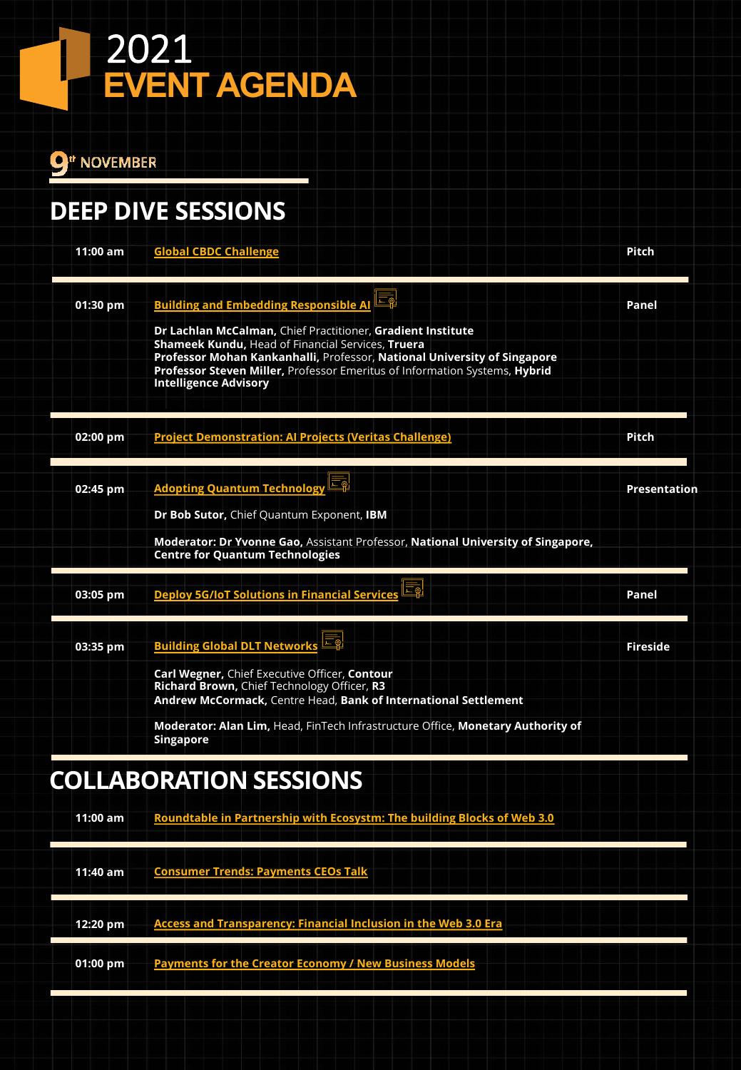$9^{\text{th}}$  NOVEMBER

## **DEEP DIVE SESSIONS**

| <b>Global CBDC Challenge</b>                                                                                                                                                                                                                                                                               | <b>Pitch</b>    |
|------------------------------------------------------------------------------------------------------------------------------------------------------------------------------------------------------------------------------------------------------------------------------------------------------------|-----------------|
| Eg<br><b>Building and Embedding Responsible AI</b>                                                                                                                                                                                                                                                         | Panel           |
| Dr Lachlan McCalman, Chief Practitioner, Gradient Institute<br>Shameek Kundu, Head of Financial Services, Truera<br>Professor Mohan Kankanhalli, Professor, National University of Singapore<br>Professor Steven Miller, Professor Emeritus of Information Systems, Hybrid<br><b>Intelligence Advisory</b> |                 |
| <b>Project Demonstration: Al Projects (Veritas Challenge)</b>                                                                                                                                                                                                                                              | Pitch           |
| <b>Adopting Quantum Technology</b>                                                                                                                                                                                                                                                                         | Presentation    |
| Dr Bob Sutor, Chief Quantum Exponent, IBM                                                                                                                                                                                                                                                                  |                 |
| Moderator: Dr Yvonne Gao, Assistant Professor, National University of Singapore,<br><b>Centre for Quantum Technologies</b>                                                                                                                                                                                 |                 |
| <b>Deploy 5G/IoT Solutions in Financial Services</b>                                                                                                                                                                                                                                                       | Panel           |
| <b>Building Global DLT Networks</b>                                                                                                                                                                                                                                                                        | <b>Fireside</b> |
| Carl Wegner, Chief Executive Officer, Contour<br>Richard Brown, Chief Technology Officer, R3<br>Andrew McCormack, Centre Head, Bank of International Settlement                                                                                                                                            |                 |
| Moderator: Alan Lim, Head, FinTech Infrastructure Office, Monetary Authority of<br><b>Singapore</b>                                                                                                                                                                                                        |                 |
| <b>COLLABORATION SESSIONS</b>                                                                                                                                                                                                                                                                              |                 |
| Roundtable in Partnership with Ecosystm: The building Blocks of Web 3.0                                                                                                                                                                                                                                    |                 |
|                                                                                                                                                                                                                                                                                                            |                 |

| 11:40 am   | <b>Consumer Trends: Payments CEOs Talk</b>                             |
|------------|------------------------------------------------------------------------|
| 12:20 pm   | <b>Access and Transparency: Financial Inclusion in the Web 3.0 Era</b> |
| $01:00$ pm | <b>Payments for the Creator Economy / New Business Models</b>          |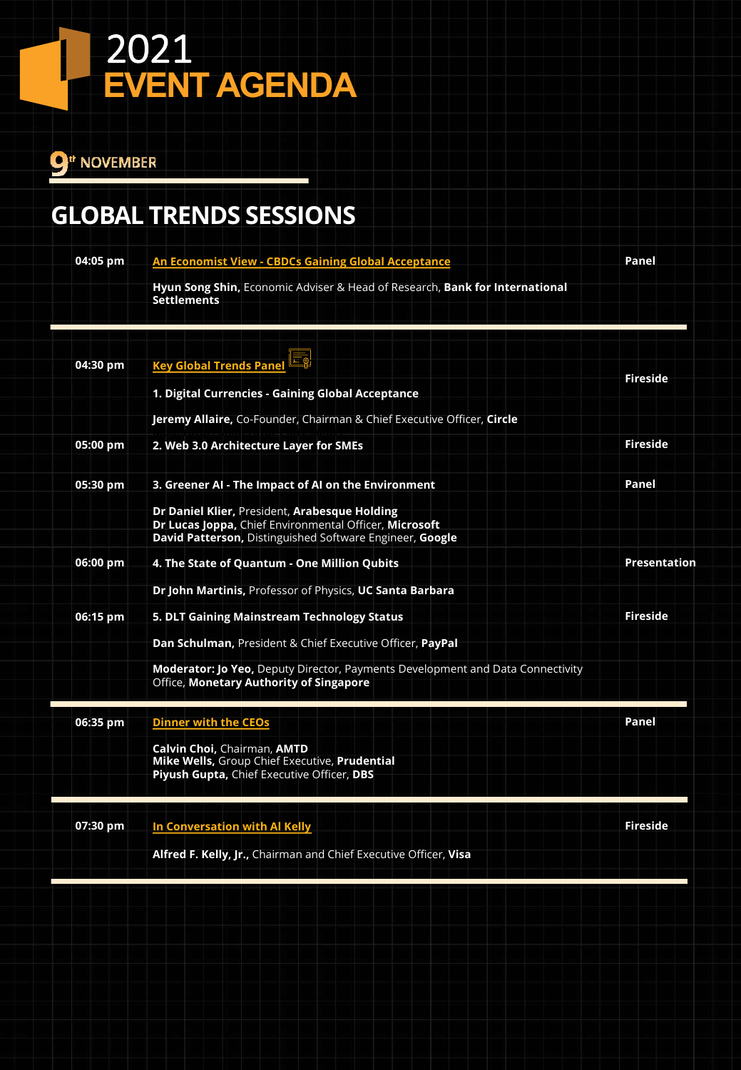<sup>th</sup> NOVEMBER

## **GLOBAL TRENDS SESSIONS**

| Fireside<br><b>Fireside</b>                                                           |
|---------------------------------------------------------------------------------------|
|                                                                                       |
|                                                                                       |
|                                                                                       |
|                                                                                       |
|                                                                                       |
|                                                                                       |
| Panel                                                                                 |
|                                                                                       |
| Presentation                                                                          |
|                                                                                       |
| <b>Fireside</b>                                                                       |
|                                                                                       |
|                                                                                       |
| Panel                                                                                 |
|                                                                                       |
| <b>Fireside</b>                                                                       |
|                                                                                       |
| <b>Moderator: Jo Yeo, Deputy Director, Payments Development and Data Connectivity</b> |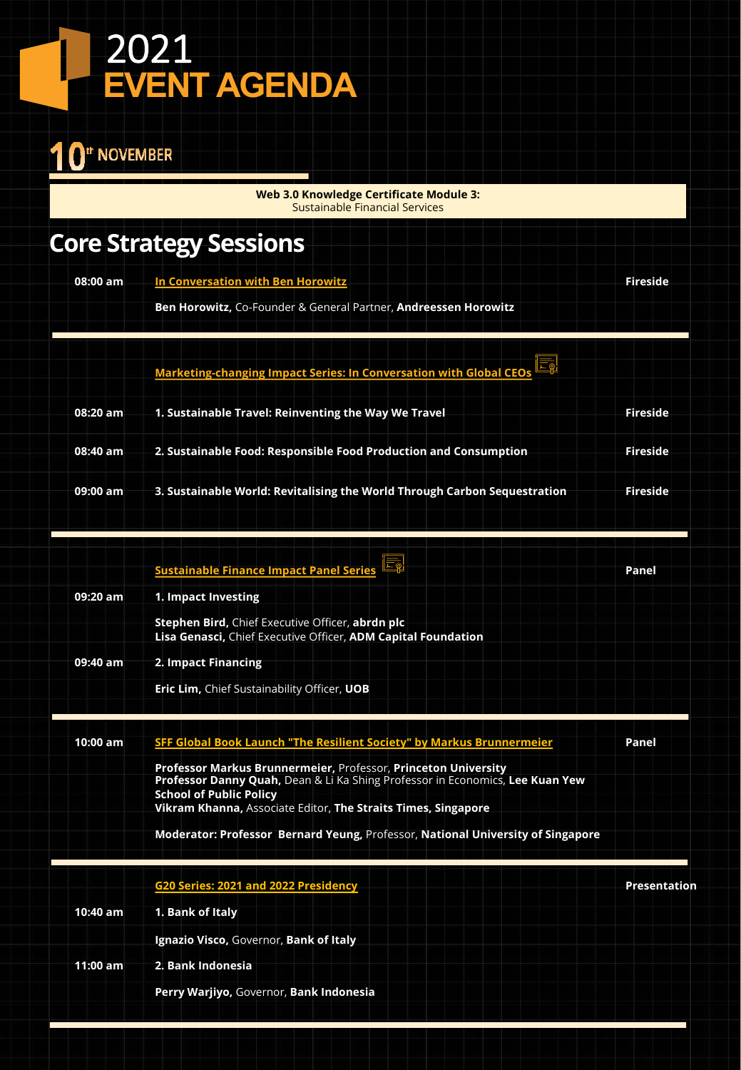#### <sup>th</sup> NOVEMBER 1

**Web 3.0 Knowledge Certificate Module 3:**  Sustainable Financial Services

## **Core Strategy Sessions**

| 08:00 am | In Conversation with Ben Horowitz                                             | Fireside        |
|----------|-------------------------------------------------------------------------------|-----------------|
|          | <b>Ben Horowitz.</b> Co-Founder & General Partner, <b>Andreessen Horowitz</b> |                 |
|          |                                                                               |                 |
|          | Marketing-changing Impact Series: In Conversation with Global CEOs            |                 |
| 08:20 am | 1. Sustainable Travel: Reinventing the Way We Travel                          | <b>Fireside</b> |
| 08:40 am | 2. Sustainable Food: Responsible Food Production and Consumption              | <b>Fireside</b> |
| 09:00 am | 3. Sustainable World: Revitalising the World Through Carbon Sequestration     | Fireside        |
|          |                                                                               |                 |

|          | <b>Sustainable Finance Impact Panel Series</b>                                                                    | Panel |
|----------|-------------------------------------------------------------------------------------------------------------------|-------|
| 09:20 am | 1. Impact Investing                                                                                               |       |
|          | Stephen Bird, Chief Executive Officer, abrdn plc<br>Lisa Genasci, Chief Executive Officer, ADM Capital Foundation |       |
| 09:40 am | 2. Impact Financing                                                                                               |       |
|          | <b>Eric Lim, Chief Sustainability Officer, UOB</b>                                                                |       |
|          |                                                                                                                   |       |

| 10:00 am | SFF Global Book Launch "The Resilient Society" by Markus Brunnermeier                                           | Panel        |
|----------|-----------------------------------------------------------------------------------------------------------------|--------------|
|          | Professor Markus Brunnermeier, Professor, Princeton University                                                  |              |
|          | Professor Danny Quah, Dean & Li Ka Shing Professor in Economics, Lee Kuan Yew<br><b>School of Public Policy</b> |              |
|          | Vikram Khanna, Associate Editor, The Straits Times, Singapore                                                   |              |
|          | Moderator: Professor Bernard Yeung, Professor, National University of Singapore                                 |              |
|          | G20 Series: 2021 and 2022 Presidency                                                                            | Presentation |
| 10:40 am | 1. Bank of Italy                                                                                                |              |
|          | Ignazio Visco, Governor, Bank of Italy                                                                          |              |
| 11:00 am | 2. Bank Indonesia                                                                                               |              |
|          | Perry Warjiyo, Governor, Bank Indonesia                                                                         |              |
|          |                                                                                                                 |              |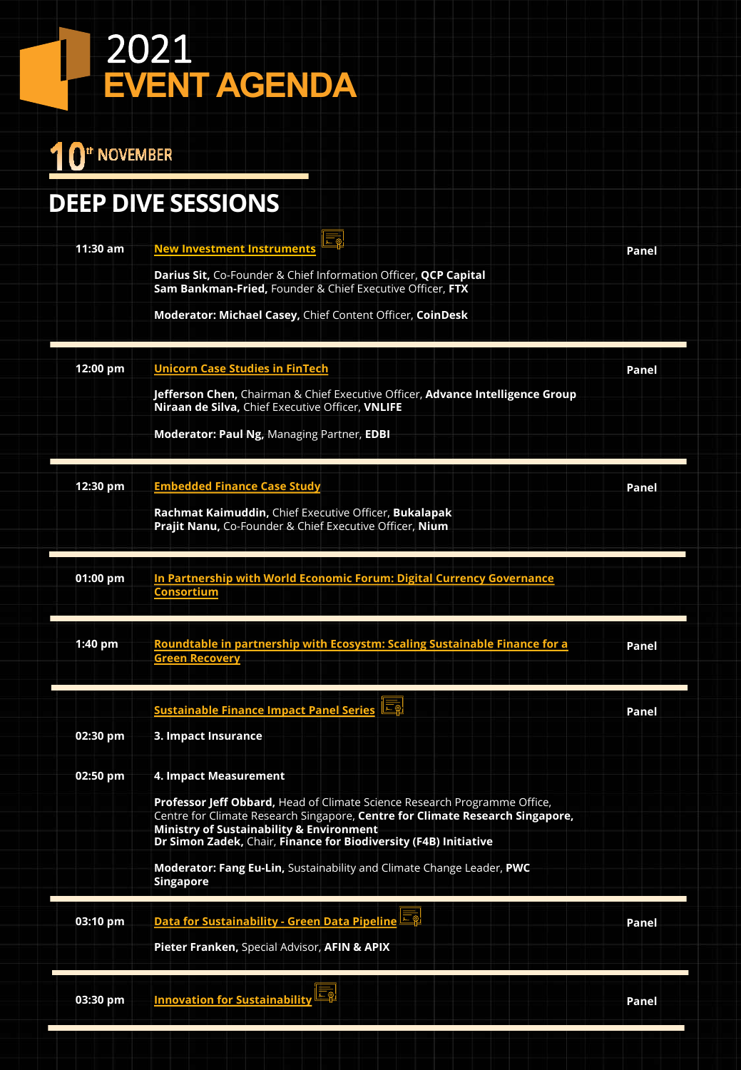## 10<sup>th</sup> November

## **DEEP DIVE SESSIONS**

| $11:30$ am | 三副<br><b>New Investment Instruments</b>                                                                                                                    | Panel |
|------------|------------------------------------------------------------------------------------------------------------------------------------------------------------|-------|
|            | Darius Sit, Co-Founder & Chief Information Officer, QCP Capital<br>Sam Bankman-Fried, Founder & Chief Executive Officer, FTX                               |       |
|            | Moderator: Michael Casey, Chief Content Officer, CoinDesk                                                                                                  |       |
| 12:00 pm   | <b>Unicorn Case Studies in FinTech</b>                                                                                                                     | Panel |
|            | Jefferson Chen, Chairman & Chief Executive Officer, Advance Intelligence Group<br>Niraan de Silva, Chief Executive Officer, VNLIFE                         |       |
|            | Moderator: Paul Ng, Managing Partner, EDBI                                                                                                                 |       |
| 12:30 pm   | <b>Embedded Finance Case Study</b>                                                                                                                         | Panel |
|            | Rachmat Kaimuddin, Chief Executive Officer, Bukalapak<br>Prajit Nanu, Co-Founder & Chief Executive Officer, Nium                                           |       |
| 01:00 pm   | In Partnership with World Economic Forum: Digital Currency Governance                                                                                      |       |
|            | <b>Consortium</b>                                                                                                                                          |       |
| 1:40 pm    | Roundtable in partnership with Ecosystm: Scaling Sustainable Finance for a<br><b>Green Recovery</b>                                                        | Panel |
|            | <b>Sustainable Finance Impact Panel Series</b>                                                                                                             | Panel |
| 02:30 pm   | 3. Impact Insurance                                                                                                                                        |       |
| 02:50 pm   | 4. Impact Measurement                                                                                                                                      |       |
|            | Professor Jeff Obbard, Head of Climate Science Research Programme Office,<br>Centre for Climate Research Singapore, Centre for Climate Research Singapore, |       |
|            | <b>Ministry of Sustainability &amp; Environment</b><br>Dr Simon Zadek, Chair, Finance for Biodiversity (F4B) Initiative                                    |       |
|            | Moderator: Fang Eu-Lin, Sustainability and Climate Change Leader, PWC<br><b>Singapore</b>                                                                  |       |
| 03:10 pm   | $ \overline{\mathbb{F}_p} $<br>Data for Sustainability - Green Data Pipeline                                                                               | Panel |
|            | Pieter Franken, Special Advisor, AFIN & APIX                                                                                                               |       |
|            |                                                                                                                                                            |       |